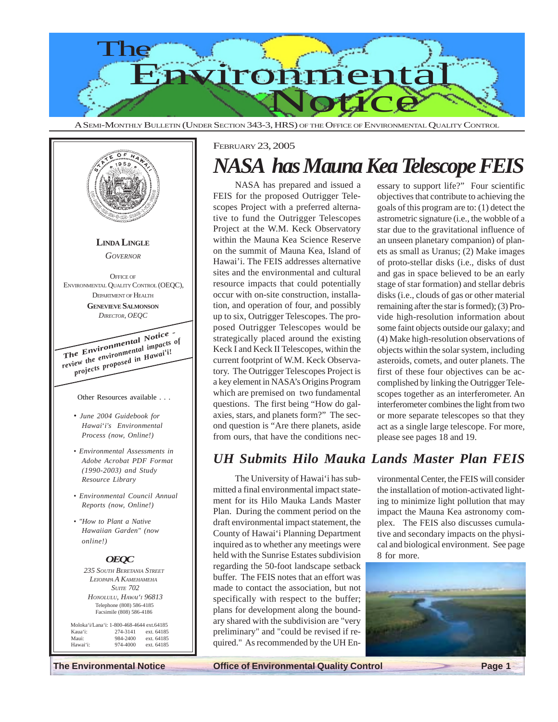

A SEMI-MONTHLY BULLETIN (UNDER SECTION 343-3, HRS) OF THE OFFICE OF ENVIRONMENTAL QUALITY CONTROL



## FEBRUARY 23, 2005 *NASA has Mauna Kea Telescope FEIS*

NASA has prepared and issued a FEIS for the proposed Outrigger Telescopes Project with a preferred alternative to fund the Outrigger Telescopes Project at the W.M. Keck Observatory within the Mauna Kea Science Reserve on the summit of Mauna Kea, Island of Hawai'i. The FEIS addresses alternative sites and the environmental and cultural resource impacts that could potentially occur with on-site construction, installation, and operation of four, and possibly up to six, Outrigger Telescopes. The proposed Outrigger Telescopes would be strategically placed around the existing Keck I and Keck II Telescopes, within the current footprint of W.M. Keck Observatory. The Outrigger Telescopes Project is a key element in NASA's Origins Program which are premised on two fundamental questions. The first being "How do galaxies, stars, and planets form?" The second question is "Are there planets, aside from ours, that have the conditions necessary to support life?" Four scientific objectives that contribute to achieving the goals of this program are to: (1) detect the astrometric signature (i.e., the wobble of a star due to the gravitational influence of an unseen planetary companion) of planets as small as Uranus; (2) Make images of proto-stellar disks (i.e., disks of dust and gas in space believed to be an early stage of star formation) and stellar debris disks (i.e., clouds of gas or other material remaining after the star is formed); (3) Provide high-resolution information about some faint objects outside our galaxy; and (4) Make high-resolution observations of objects within the solar system, including asteroids, comets, and outer planets. The first of these four objectives can be accomplished by linking the Outrigger Telescopes together as an interferometer. An interferometer combines the light from two or more separate telescopes so that they act as a single large telescope. For more, please see pages 18 and 19.

### *UH Submits Hilo Mauka Lands Master Plan FEIS*

The University of Hawai'i has submitted a final environmental impact statement for its Hilo Mauka Lands Master Plan. During the comment period on the draft environmental impact statement, the County of Hawai'i Planning Department inquired as to whether any meetings were held with the Sunrise Estates subdivision regarding the 50-foot landscape setback buffer. The FEIS notes that an effort was made to contact the association, but not specifically with respect to the buffer; plans for development along the boundary shared with the subdivision are "very preliminary" and "could be revised if required." As recommended by the UH Environmental Center, the FEIS will consider the installation of motion-activated lighting to minimize light pollution that may impact the Mauna Kea astronomy complex. The FEIS also discusses cumulative and secondary impacts on the physical and biological environment. See page 8 for more.



**The Environmental Notice Control Control Page 1**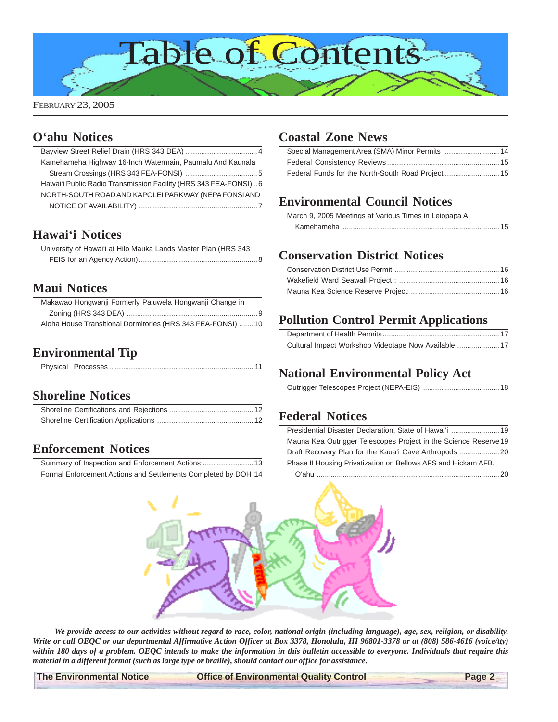

### **[O'ahu Notices](#page-3-0)**

| Kamehameha Highway 16-Inch Watermain, Paumalu And Kaunala       |
|-----------------------------------------------------------------|
|                                                                 |
| Hawai'i Public Radio Transmission Facility (HRS 343 FEA-FONSI)6 |
| NORTH-SOUTH ROAD AND KAPOLEI PARKWAY (NEPA FONSI AND            |
|                                                                 |

### **[Hawai'i Notices](#page-7-0)**

| University of Hawai'i at Hilo Mauka Lands Master Plan (HRS 343) |  |
|-----------------------------------------------------------------|--|
|                                                                 |  |

#### **Maui Notices**

| Makawao Hongwanji Formerly Pa'uwela Hongwanji Change in      |  |
|--------------------------------------------------------------|--|
|                                                              |  |
| Aloha House Transitional Dormitories (HRS 343 FEA-FONSI)  10 |  |

### **[Environmental Tip](#page-10-0)**

#### **[Shoreline Notices](#page-11-0)**

#### **[Enforcement Notices](#page-12-0)**

[Summary of Inspection and Enforcement Actions .........................13](#page-12-0) [Formal Enforcement Actions and Settlements Completed by DOH 14](#page-13-0)

#### **[Coastal Zone News](#page-13-0)**

### **[Environmental Council Notices](#page-14-0)**

| March 9, 2005 Meetings at Various Times in Leiopapa A |  |
|-------------------------------------------------------|--|
|                                                       |  |

#### **Conservation District Notices**

### **Pollution Control Permit Applications**

### **[National Environmental Policy Act](#page-17-0)**

|--|--|

#### **Federal Notices**

| Mauna Kea Outrigger Telescopes Project in the Science Reserve 19 |  |
|------------------------------------------------------------------|--|
|                                                                  |  |
| Phase II Housing Privatization on Bellows AFS and Hickam AFB,    |  |
|                                                                  |  |



*We provide access to our activities without regard to race, color, national origin (including language), age, sex, religion, or disability. Write or call OEQC or our departmental Affirmative Action Officer at Box 3378, Honolulu, HI 96801-3378 or at (808) 586-4616 (voice/tty) within 180 days of a problem. OEQC intends to make the information in this bulletin accessible to everyone. Individuals that require this material in a different format (such as large type or braille), should contact our office for assistance.*

**The Environmental Notice Control Page 2** Office of Environmental Quality Control Page 2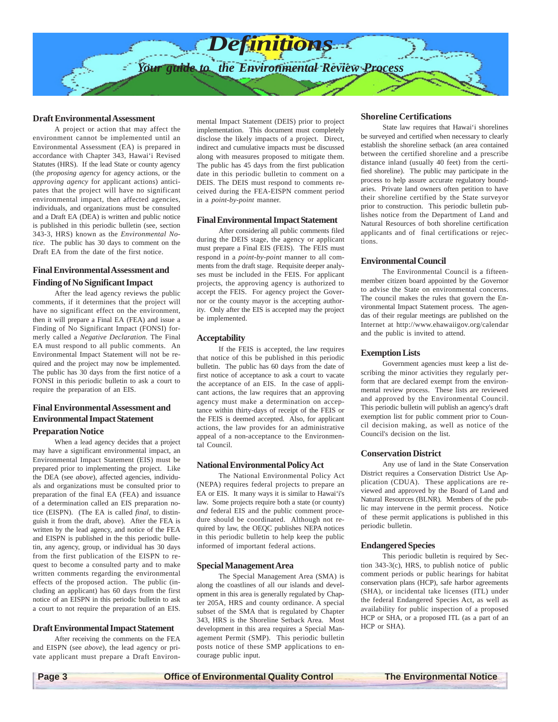

#### **Draft Environmental Assessment**

A project or action that may affect the environment cannot be implemented until an Environmental Assessment (EA) is prepared in accordance with Chapter 343, Hawai'i Revised Statutes (HRS). If the lead State or county agency (the *proposing agency* for agency actions, or the *approving agency* for applicant actions) anticipates that the project will have no significant environmental impact, then affected agencies, individuals, and organizations must be consulted and a Draft EA (DEA) is written and public notice is published in this periodic bulletin (see, section 343-3, HRS) known as the *Environmental Notice*. The public has 30 days to comment on the Draft EA from the date of the first notice.

#### **Final Environmental Assessment and Finding of No Significant Impact**

After the lead agency reviews the public comments, if it determines that the project will have no significant effect on the environment, then it will prepare a Final EA (FEA) and issue a Finding of No Significant Impact (FONSI) formerly called a *Negative Declaration.* The Final EA must respond to all public comments. An Environmental Impact Statement will not be required and the project may now be implemented. The public has 30 days from the first notice of a FONSI in this periodic bulletin to ask a court to require the preparation of an EIS.

#### **Final Environmental Assessment and Environmental Impact Statement Preparation Notice**

When a lead agency decides that a project may have a significant environmental impact, an Environmental Impact Statement (EIS) must be prepared prior to implementing the project. Like the DEA (see *above*), affected agencies, individuals and organizations must be consulted prior to preparation of the final EA (FEA) and issuance of a determination called an EIS preparation notice (EISPN). (The EA is called *final*, to distinguish it from the draft, above). After the FEA is written by the lead agency, and notice of the FEA and EISPN is published in the this periodic bulletin, any agency, group, or individual has 30 days from the first publication of the EISPN to request to become a consulted party and to make written comments regarding the environmental effects of the proposed action. The public (including an applicant) has 60 days from the first notice of an EISPN in this periodic bulletin to ask a court to not require the preparation of an EIS.

#### **Draft Environmental Impact Statement**

After receiving the comments on the FEA and EISPN (see *above*), the lead agency or private applicant must prepare a Draft Environ-

mental Impact Statement (DEIS) prior to project implementation. This document must completely disclose the likely impacts of a project. Direct, indirect and cumulative impacts must be discussed along with measures proposed to mitigate them. The public has 45 days from the first publication date in this periodic bulletin to comment on a DEIS. The DEIS must respond to comments received during the FEA-EISPN comment period in a *point-by-point* manner.

#### **Final Environmental Impact Statement**

After considering all public comments filed during the DEIS stage, the agency or applicant must prepare a Final EIS (FEIS). The FEIS must respond in a *point-by-point* manner to all comments from the draft stage. Requisite deeper analyses must be included in the FEIS. For applicant projects, the approving agency is authorized to accept the FEIS. For agency project the Governor or the county mayor is the accepting authority. Only after the EIS is accepted may the project be implemented.

#### **Acceptability**

If the FEIS is accepted, the law requires that notice of this be published in this periodic bulletin. The public has 60 days from the date of first notice of acceptance to ask a court to vacate the acceptance of an EIS. In the case of applicant actions, the law requires that an approving agency must make a determination on acceptance within thirty-days of receipt of the FEIS or the FEIS is deemed accepted. Also, for applicant actions, the law provides for an administrative appeal of a non-acceptance to the Environmental Council.

#### **National Environmental Policy Act**

The National Environmental Policy Act (NEPA) requires federal projects to prepare an EA or EIS. It many ways it is similar to Hawai'i's law. Some projects require both a state (or county) *and* federal EIS and the public comment procedure should be coordinated. Although not required by law, the OEQC publishes NEPA notices in this periodic bulletin to help keep the public informed of important federal actions.

#### **Special Management Area**

The Special Management Area (SMA) is along the coastlines of all our islands and development in this area is generally regulated by Chapter 205A, HRS and county ordinance. A special subset of the SMA that is regulated by Chapter 343, HRS is the Shoreline Setback Area. Most development in this area requires a Special Management Permit (SMP). This periodic bulletin posts notice of these SMP applications to encourage public input.

#### **Shoreline Certifications**

State law requires that Hawai'i shorelines be surveyed and certified when necessary to clearly establish the shoreline setback (an area contained between the certified shoreline and a prescribe distance inland (usually 40 feet) from the certified shoreline). The public may participate in the process to help assure accurate regulatory boundaries. Private land owners often petition to have their shoreline certified by the State surveyor prior to construction. This periodic bulletin publishes notice from the Department of Land and Natural Resources of both shoreline certification applicants and of final certifications or rejections.

#### **Environmental Council**

The Environmental Council is a fifteenmember citizen board appointed by the Governor to advise the State on environmental concerns. The council makes the rules that govern the Environmental Impact Statement process. The agendas of their regular meetings are published on the Internet at http://www.ehawaiigov.org/calendar and the public is invited to attend.

#### **Exemption Lists**

Government agencies must keep a list describing the minor activities they regularly perform that are declared exempt from the environmental review process. These lists are reviewed and approved by the Environmental Council. This periodic bulletin will publish an agency's draft exemption list for public comment prior to Council decision making, as well as notice of the Council's decision on the list.

#### **Conservation District**

Any use of land in the State Conservation District requires a Conservation District Use Application (CDUA). These applications are reviewed and approved by the Board of Land and Natural Resources (BLNR). Members of the public may intervene in the permit process. Notice of these permit applications is published in this periodic bulletin.

#### **Endangered Species**

This periodic bulletin is required by Section 343-3(c), HRS, to publish notice of public comment periods or public hearings for habitat conservation plans (HCP), safe harbor agreements (SHA), or incidental take licenses (ITL) under the federal Endangered Species Act, as well as availability for public inspection of a proposed HCP or SHA, or a proposed ITL (as a part of an HCP or SHA).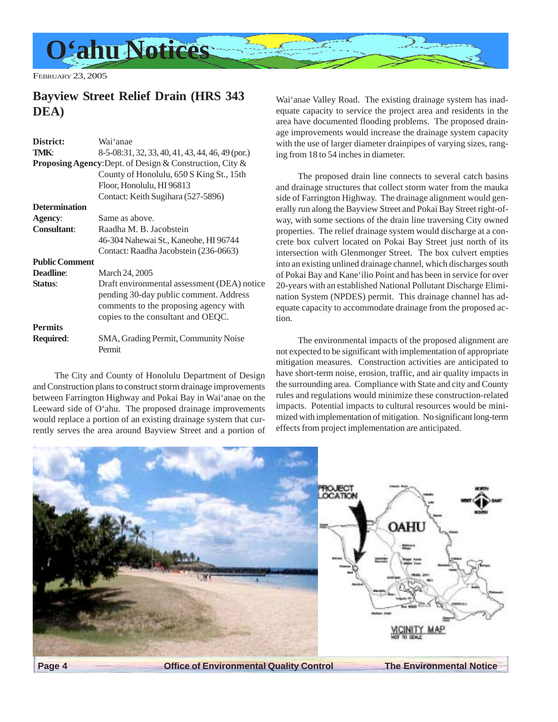<span id="page-3-0"></span>

### **Bayview Street Relief Drain (HRS 343 DEA)**

| District:             | Wai 'anae                                                       |
|-----------------------|-----------------------------------------------------------------|
| <b>TMK:</b>           | 8-5-08:31, 32, 33, 40, 41, 43, 44, 46, 49 (por.)                |
|                       | <b>Proposing Agency:</b> Dept. of Design & Construction, City & |
|                       | County of Honolulu, 650 S King St., 15th                        |
|                       | Floor, Honolulu, HI 96813                                       |
|                       | Contact: Keith Sugihara (527-5896)                              |
| <b>Determination</b>  |                                                                 |
| Agency:               | Same as above.                                                  |
| <b>Consultant:</b>    | Raadha M. B. Jacobstein                                         |
|                       | 46-304 Nahewai St., Kaneohe, HI 96744                           |
|                       | Contact: Raadha Jacobstein (236-0663)                           |
| <b>Public Comment</b> |                                                                 |
| <b>Deadline:</b>      | March 24, 2005                                                  |
| Status:               | Draft environmental assessment (DEA) notice                     |
|                       | pending 30-day public comment. Address                          |
|                       | comments to the proposing agency with                           |
|                       | copies to the consultant and OEQC.                              |
| <b>Permits</b>        |                                                                 |
| <b>Required:</b>      | <b>SMA, Grading Permit, Community Noise</b>                     |
|                       | Permit                                                          |
|                       |                                                                 |

The City and County of Honolulu Department of Design and Construction plans to construct storm drainage improvements between Farrington Highway and Pokai Bay in Wai'anae on the Leeward side of O'ahu. The proposed drainage improvements would replace a portion of an existing drainage system that currently serves the area around Bayview Street and a portion of

Wai'anae Valley Road. The existing drainage system has inadequate capacity to service the project area and residents in the area have documented flooding problems. The proposed drainage improvements would increase the drainage system capacity with the use of larger diameter drainpipes of varying sizes, ranging from 18 to 54 inches in diameter.

The proposed drain line connects to several catch basins and drainage structures that collect storm water from the mauka side of Farrington Highway. The drainage alignment would generally run along the Bayview Street and Pokai Bay Street right-ofway, with some sections of the drain line traversing City owned properties. The relief drainage system would discharge at a concrete box culvert located on Pokai Bay Street just north of its intersection with Glenmonger Street. The box culvert empties into an existing unlined drainage channel, which discharges south of Pokai Bay and Kane'ilio Point and has been in service for over 20-years with an established National Pollutant Discharge Elimination System (NPDES) permit. This drainage channel has adequate capacity to accommodate drainage from the proposed action.

The environmental impacts of the proposed alignment are not expected to be significant with implementation of appropriate mitigation measures. Construction activities are anticipated to have short-term noise, erosion, traffic, and air quality impacts in the surrounding area. Compliance with State and city and County rules and regulations would minimize these construction-related impacts. Potential impacts to cultural resources would be minimized with implementation of mitigation. No significant long-term effects from project implementation are anticipated.

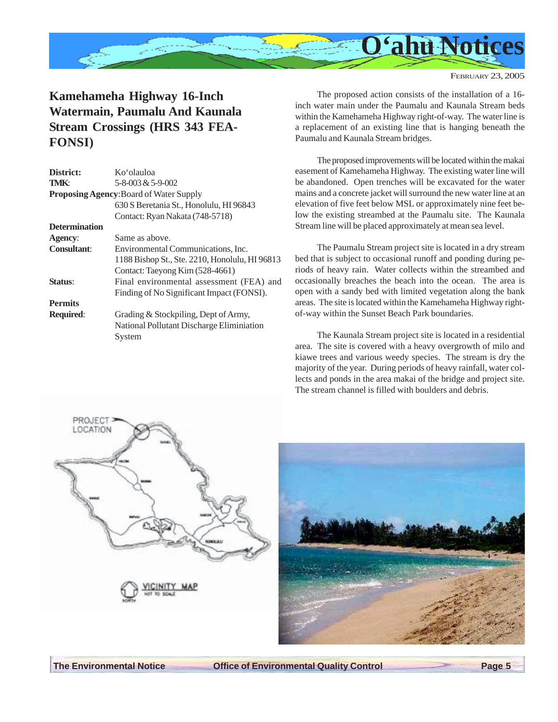<span id="page-4-0"></span>

### **Kamehameha Highway 16-Inch Watermain, Paumalu And Kaunala Stream Crossings (HRS 343 FEA-FONSI)**

| District:            | Ko'olauloa                                     |
|----------------------|------------------------------------------------|
| TMK:                 | $5 - 8 - 003 & 5 - 9 - 002$                    |
|                      | <b>Proposing Agency: Board of Water Supply</b> |
|                      | 630 S Beretania St., Honolulu, HI 96843        |
|                      | Contact: Ryan Nakata (748-5718)                |
| <b>Determination</b> |                                                |
| Agency:              | Same as above.                                 |
| <b>Consultant:</b>   | Environmental Communications, Inc.             |
|                      | 1188 Bishop St., Ste. 2210, Honolulu, HI 96813 |
|                      | Contact: Taeyong Kim (528-4661)                |
| Status:              | Final environmental assessment (FEA) and       |
|                      | Finding of No Significant Impact (FONSI).      |
| <b>Permits</b>       |                                                |
| <b>Required:</b>     | Grading & Stockpiling, Dept of Army,           |
|                      | National Pollutant Discharge Eliminiation      |
|                      | System                                         |
|                      |                                                |

The proposed action consists of the installation of a 16 inch water main under the Paumalu and Kaunala Stream beds within the Kamehameha Highway right-of-way. The water line is a replacement of an existing line that is hanging beneath the Paumalu and Kaunala Stream bridges.

The proposed improvements will be located within the makai easement of Kamehameha Highway. The existing water line will be abandoned. Open trenches will be excavated for the water mains and a concrete jacket will surround the new water line at an elevation of five feet below MSL or approximately nine feet below the existing streambed at the Paumalu site. The Kaunala Stream line will be placed approximately at mean sea level.

The Paumalu Stream project site is located in a dry stream bed that is subject to occasional runoff and ponding during periods of heavy rain. Water collects within the streambed and occasionally breaches the beach into the ocean. The area is open with a sandy bed with limited vegetation along the bank areas. The site is located within the Kamehameha Highway rightof-way within the Sunset Beach Park boundaries.

The Kaunala Stream project site is located in a residential area. The site is covered with a heavy overgrowth of milo and kiawe trees and various weedy species. The stream is dry the majority of the year. During periods of heavy rainfall, water collects and ponds in the area makai of the bridge and project site. The stream channel is filled with boulders and debris.



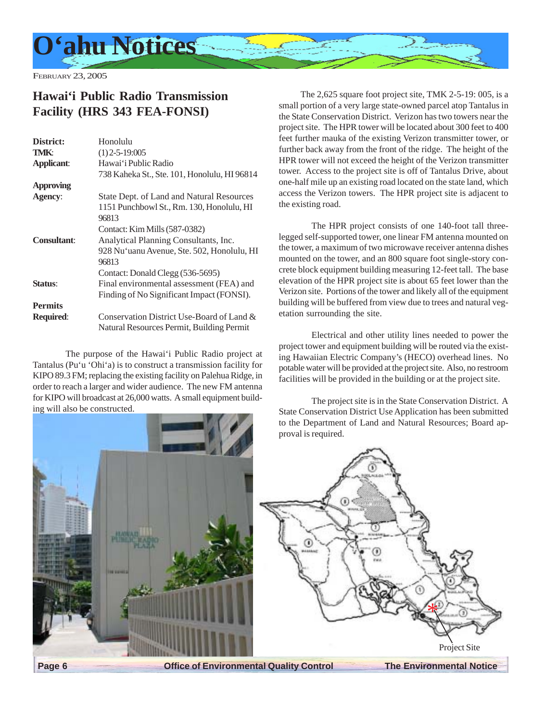<span id="page-5-0"></span>

### **Hawai'i Public Radio Transmission Facility (HRS 343 FEA-FONSI)**

| District:          | Honolulu                                            |
|--------------------|-----------------------------------------------------|
| <b>TMK:</b>        | $(1)$ 2-5-19:005                                    |
| <b>Applicant:</b>  | Hawai'i Public Radio                                |
|                    | 738 Kaheka St., Ste. 101, Honolulu, HI 96814        |
| <b>Approving</b>   |                                                     |
| Agency:            | State Dept. of Land and Natural Resources           |
|                    | 1151 Punchbowl St., Rm. 130, Honolulu, HI<br>96813  |
|                    | Contact: Kim Mills (587-0382)                       |
| <b>Consultant:</b> | Analytical Planning Consultants, Inc.               |
|                    | 928 Nu'uanu Avenue, Ste. 502, Honolulu, HI<br>96813 |
|                    | Contact: Donald Clegg (536-5695)                    |
| Status:            | Final environmental assessment (FEA) and            |
|                    | Finding of No Significant Impact (FONSI).           |
| <b>Permits</b>     |                                                     |
| <b>Required:</b>   | Conservation District Use-Board of Land &           |
|                    | Natural Resources Permit, Building Permit           |

The purpose of the Hawai'i Public Radio project at Tantalus (Pu'u 'Ohi'a) is to construct a transmission facility for KIPO 89.3 FM; replacing the existing facility on Palehua Ridge, in order to reach a larger and wider audience. The new FM antenna for KIPO will broadcast at 26,000 watts. A small equipment building will also be constructed.

The 2,625 square foot project site, TMK 2-5-19: 005, is a small portion of a very large state-owned parcel atop Tantalus in the State Conservation District. Verizon has two towers near the project site. The HPR tower will be located about 300 feet to 400 feet further mauka of the existing Verizon transmitter tower, or further back away from the front of the ridge. The height of the HPR tower will not exceed the height of the Verizon transmitter tower. Access to the project site is off of Tantalus Drive, about one-half mile up an existing road located on the state land, which access the Verizon towers. The HPR project site is adjacent to the existing road.

The HPR project consists of one 140-foot tall threelegged self-supported tower, one linear FM antenna mounted on the tower, a maximum of two microwave receiver antenna dishes mounted on the tower, and an 800 square foot single-story concrete block equipment building measuring 12-feet tall. The base elevation of the HPR project site is about 65 feet lower than the Verizon site. Portions of the tower and likely all of the equipment building will be buffered from view due to trees and natural vegetation surrounding the site.

Electrical and other utility lines needed to power the project tower and equipment building will be routed via the existing Hawaiian Electric Company's (HECO) overhead lines. No potable water will be provided at the project site. Also, no restroom facilities will be provided in the building or at the project site.

The project site is in the State Conservation District. A State Conservation District Use Application has been submitted to the Department of Land and Natural Resources; Board approval is required.



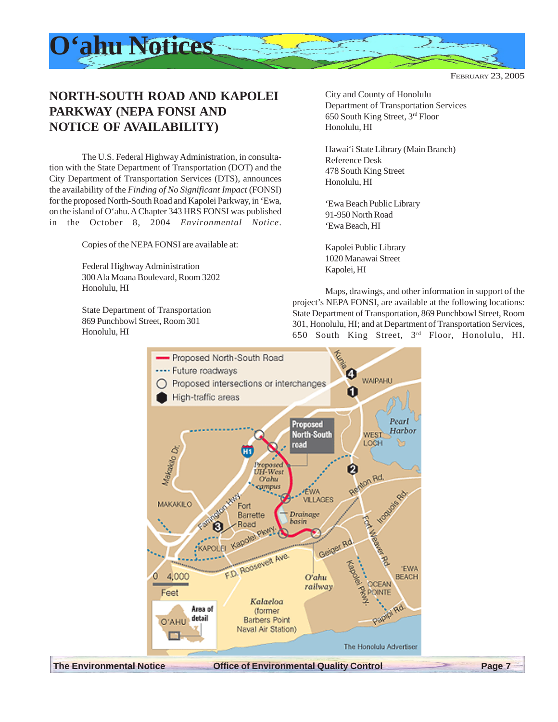<span id="page-6-0"></span>

FEBRUARY 23, 2005

### **NORTH-SOUTH ROAD AND KAPOLEI PARKWAY (NEPA FONSI AND NOTICE OF AVAILABILITY)**

The U.S. Federal Highway Administration, in consultation with the State Department of Transportation (DOT) and the City Department of Transportation Services (DTS), announces the availability of the *Finding of No Significant Impact* (FONSI) for the proposed North-South Road and Kapolei Parkway, in 'Ewa, on the island of O'ahu. A Chapter 343 HRS FONSI was published in the October 8, 2004 *Environmental Notice*.

Copies of the NEPA FONSI are available at:

Federal Highway Administration 300 Ala Moana Boulevard, Room 3202 Honolulu, HI

State Department of Transportation 869 Punchbowl Street, Room 301 Honolulu, HI

City and County of Honolulu Department of Transportation Services 650 South King Street, 3rd Floor Honolulu, HI

Hawai'i State Library (Main Branch) Reference Desk 478 South King Street Honolulu, HI

'Ewa Beach Public Library 91-950 North Road 'Ewa Beach, HI

Kapolei Public Library 1020 Manawai Street Kapolei, HI

Maps, drawings, and other information in support of the project's NEPA FONSI, are available at the following locations: State Department of Transportation, 869 Punchbowl Street, Room 301, Honolulu, HI; and at Department of Transportation Services, 650 South King Street, 3rd Floor, Honolulu, HI.

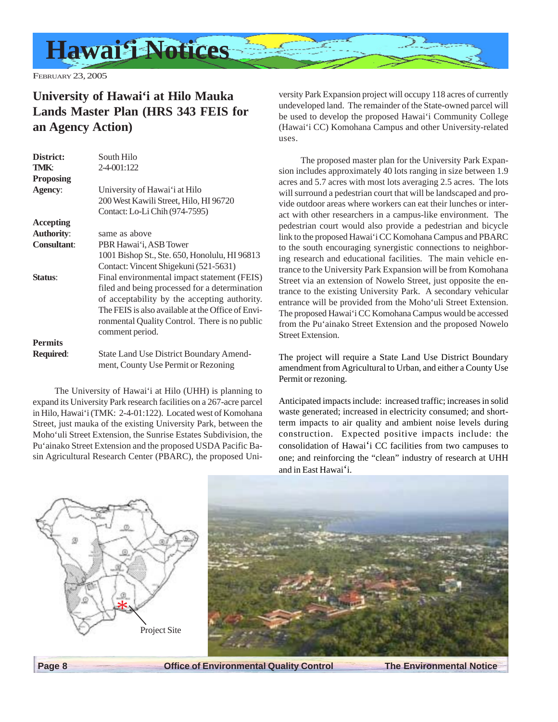<span id="page-7-0"></span>

### **University of Hawai'i at Hilo Mauka Lands Master Plan (HRS 343 FEIS for an Agency Action)**

| District:          | South Hilo                                        |
|--------------------|---------------------------------------------------|
| <b>TMK:</b>        | 2-4-001:122                                       |
| <b>Proposing</b>   |                                                   |
| Agency:            | University of Hawai'i at Hilo                     |
|                    | 200 West Kawili Street, Hilo, HI 96720            |
|                    | Contact: Lo-Li Chih (974-7595)                    |
| Accepting          |                                                   |
| <b>Authority:</b>  | same as above                                     |
| <b>Consultant:</b> | PBR Hawai'i, ASB Tower                            |
|                    | 1001 Bishop St., Ste. 650, Honolulu, HI 96813     |
|                    | Contact: Vincent Shigekuni (521-5631)             |
| Status:            | Final environmental impact statement (FEIS)       |
|                    | filed and being processed for a determination     |
|                    | of acceptability by the accepting authority.      |
|                    | The FEIS is also available at the Office of Envi- |
|                    | ronmental Quality Control. There is no public     |
|                    | comment period.                                   |
| <b>Permits</b>     |                                                   |
| <b>Required:</b>   | <b>State Land Use District Boundary Amend-</b>    |
|                    | ment, County Use Permit or Rezoning               |

The University of Hawai'i at Hilo (UHH) is planning to expand its University Park research facilities on a 267-acre parcel in Hilo, Hawai'i (TMK: 2-4-01:122). Located west of Komohana Street, just mauka of the existing University Park, between the Moho'uli Street Extension, the Sunrise Estates Subdivision, the Pu'ainako Street Extension and the proposed USDA Pacific Basin Agricultural Research Center (PBARC), the proposed University Park Expansion project will occupy 118 acres of currently undeveloped land. The remainder of the State-owned parcel will be used to develop the proposed Hawai'i Community College (Hawai'i CC) Komohana Campus and other University-related uses.

The proposed master plan for the University Park Expansion includes approximately 40 lots ranging in size between 1.9 acres and 5.7 acres with most lots averaging 2.5 acres. The lots will surround a pedestrian court that will be landscaped and provide outdoor areas where workers can eat their lunches or interact with other researchers in a campus-like environment. The pedestrian court would also provide a pedestrian and bicycle link to the proposed Hawai'i CC Komohana Campus and PBARC to the south encouraging synergistic connections to neighboring research and educational facilities. The main vehicle entrance to the University Park Expansion will be from Komohana Street via an extension of Nowelo Street, just opposite the entrance to the existing University Park. A secondary vehicular entrance will be provided from the Moho'uli Street Extension. The proposed Hawai'i CC Komohana Campus would be accessed from the Pu'ainako Street Extension and the proposed Nowelo Street Extension.

The project will require a State Land Use District Boundary amendment from Agricultural to Urban, and either a County Use Permit or rezoning.

Anticipated impacts include: increased traffic; increases in solid waste generated; increased in electricity consumed; and shortterm impacts to air quality and ambient noise levels during construction. Expected positive impacts include: the consolidation of Hawai'i CC facilities from two campuses to one; and reinforcing the "clean" industry of research at UHH and in East Hawai'i.



 **Page 8 Control Control Control Control Control The Environmental Notice of Environmental Quality Control The Environmental Notice**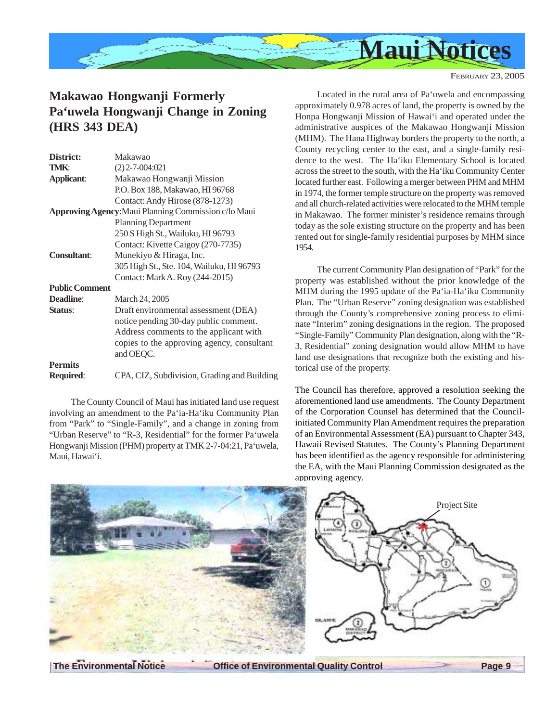<span id="page-8-0"></span>

### **Makawao Hongwanji Formerly Pa'uwela Hongwanji Change in Zoning (HRS 343 DEA)**

| District:             | Makawao                                              |
|-----------------------|------------------------------------------------------|
| TMK:                  | $(2)$ 2-7-004:021                                    |
| <b>Applicant:</b>     | Makawao Hongwanji Mission                            |
|                       | P.O. Box 188, Makawao, HI 96768                      |
|                       | Contact: Andy Hirose (878-1273)                      |
|                       | Approving Agency: Maui Planning Commission c/lo Maui |
|                       | <b>Planning Department</b>                           |
|                       | 250 S High St., Wailuku, HI 96793                    |
|                       | Contact: Kivette Caigoy (270-7735)                   |
| <b>Consultant:</b>    | Munekiyo & Hiraga, Inc.                              |
|                       | 305 High St., Ste. 104, Wailuku, HI 96793            |
|                       | Contact: Mark A. Roy (244-2015)                      |
| <b>Public Comment</b> |                                                      |
| <b>Deadline:</b>      | March 24, 2005                                       |
| Status:               | Draft environmental assessment (DEA)                 |
|                       | notice pending 30-day public comment.                |
|                       | Address comments to the applicant with               |
|                       | copies to the approving agency, consultant           |
|                       | and OEQC.                                            |
| <b>Permits</b>        |                                                      |
| <b>Required:</b>      | CPA, CIZ, Subdivision, Grading and Building          |
|                       |                                                      |

The County Council of Maui has initiated land use request involving an amendment to the Pa'ia-Ha'iku Community Plan from "Park" to "Single-Family", and a change in zoning from "Urban Reserve" to "R-3, Residential" for the former Pa'uwela Hongwanji Mission (PHM) property at TMK 2-7-04:21, Pa'uwela, Maui, Hawai'i.

Located in the rural area of Pa'uwela and encompassing approximately 0.978 acres of land, the property is owned by the Honpa Hongwanji Mission of Hawai'i and operated under the administrative auspices of the Makawao Hongwanji Mission (MHM). The Hana Highway borders the property to the north, a County recycling center to the east, and a single-family residence to the west. The Ha'iku Elementary School is located across the street to the south, with the Ha'iku Community Center located further east. Following a merger between PHM and MHM in 1974, the former temple structure on the property was removed and all church-related activities were relocated to the MHM temple in Makawao. The former minister's residence remains through today as the sole existing structure on the property and has been rented out for single-family residential purposes by MHM since 1954.

The current Community Plan designation of "Park" for the property was established without the prior knowledge of the MHM during the 1995 update of the Pa'ia-Ha'iku Community Plan. The "Urban Reserve" zoning designation was established through the County's comprehensive zoning process to eliminate "Interim" zoning designations in the region. The proposed "Single-Family" Community Plan designation, along with the "R-3, Residential" zoning designation would allow MHM to have land use designations that recognize both the existing and historical use of the property.

The Council has therefore, approved a resolution seeking the aforementioned land use amendments. The County Department of the Corporation Counsel has determined that the Councilinitiated Community Plan Amendment requires the preparation of an Environmental Assessment (EA) pursuant to Chapter 343, Hawaii Revised Statutes. The County's Planning Department has been identified as the agency responsible for administering the EA, with the Maui Planning Commission designated as the approving agency.

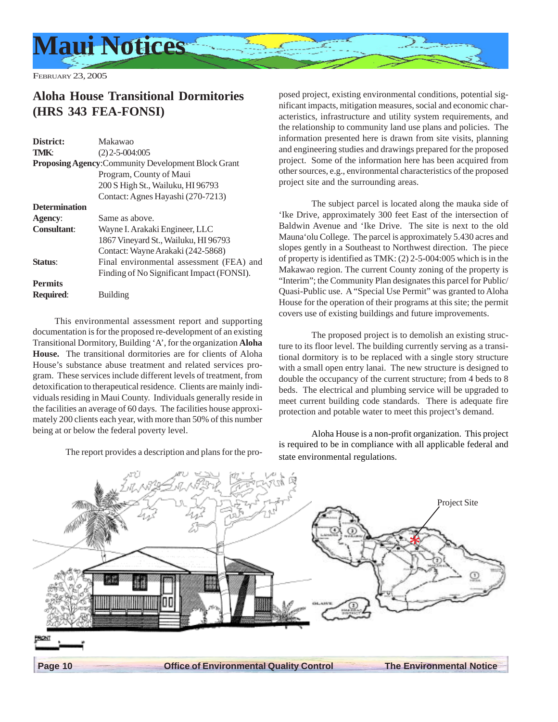<span id="page-9-0"></span>

#### **Aloha House Transitional Dormitories (HRS 343 FEA-FONSI)**

| District:            | Makawao                                                    |
|----------------------|------------------------------------------------------------|
| <b>TMK:</b>          | $(2)$ 2-5-004:005                                          |
|                      | <b>Proposing Agency: Community Development Block Grant</b> |
|                      | Program, County of Maui                                    |
|                      | 200 S High St., Wailuku, HI 96793                          |
|                      | Contact: Agnes Hayashi (270-7213)                          |
| <b>Determination</b> |                                                            |
| Agency:              | Same as above.                                             |
| <b>Consultant:</b>   | Wayne I. Arakaki Engineer, LLC                             |
|                      | 1867 Vineyard St., Wailuku, HI 96793                       |
|                      | Contact: Wayne Arakaki (242-5868)                          |
| Status:              | Final environmental assessment (FEA) and                   |
|                      | Finding of No Significant Impact (FONSI).                  |
| <b>Permits</b>       |                                                            |
| <b>Required:</b>     | <b>Building</b>                                            |

This environmental assessment report and supporting documentation is for the proposed re-development of an existing Transitional Dormitory, Building 'A', for the organization **Aloha House.** The transitional dormitories are for clients of Aloha House's substance abuse treatment and related services program. These services include different levels of treatment, from detoxification to therapeutical residence. Clients are mainly individuals residing in Maui County. Individuals generally reside in the facilities an average of 60 days. The facilities house approximately 200 clients each year, with more than 50% of this number being at or below the federal poverty level.

The report provides a description and plans for the pro-

posed project, existing environmental conditions, potential significant impacts, mitigation measures, social and economic characteristics, infrastructure and utility system requirements, and the relationship to community land use plans and policies. The information presented here is drawn from site visits, planning and engineering studies and drawings prepared for the proposed project. Some of the information here has been acquired from other sources, e.g., environmental characteristics of the proposed project site and the surrounding areas.

The subject parcel is located along the mauka side of 'Ike Drive, approximately 300 feet East of the intersection of Baldwin Avenue and 'Ike Drive. The site is next to the old Mauna'olu College. The parcel is approximately 5.430 acres and slopes gently in a Southeast to Northwest direction. The piece of property is identified as TMK: (2) 2-5-004:005 which is in the Makawao region. The current County zoning of the property is "Interim"; the Community Plan designates this parcel for Public/ Quasi-Public use. A "Special Use Permit" was granted to Aloha House for the operation of their programs at this site; the permit covers use of existing buildings and future improvements.

The proposed project is to demolish an existing structure to its floor level. The building currently serving as a transitional dormitory is to be replaced with a single story structure with a small open entry lanai. The new structure is designed to double the occupancy of the current structure; from 4 beds to 8 beds. The electrical and plumbing service will be upgraded to meet current building code standards. There is adequate fire protection and potable water to meet this project's demand.

Aloha House is a non-profit organization. This project is required to be in compliance with all applicable federal and state environmental regulations.

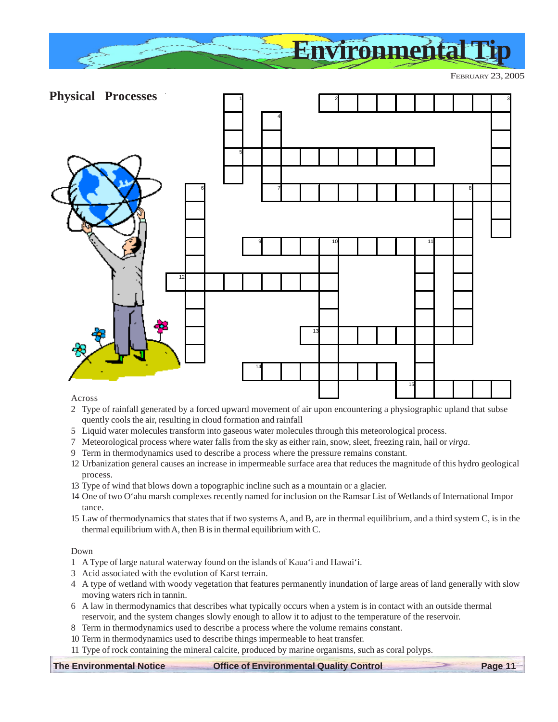<span id="page-10-0"></span>



Across

- 2 Type of rainfall generated by a forced upward movement of air upon encountering a physiographic upland that subse quently cools the air, resulting in cloud formation and rainfall
- 5 Liquid water molecules transform into gaseous water molecules through this meteorological process.
- 7 Meteorological process where water falls from the sky as either rain, snow, sleet, freezing rain, hail or *virga*.
- 9 Term in thermodynamics used to describe a process where the pressure remains constant.
- 12 Urbanization general causes an increase in impermeable surface area that reduces the magnitude of this hydro geological process.
- 13 Type of wind that blows down a topographic incline such as a mountain or a glacier.
- 14 One of two O'ahu marsh complexes recently named for inclusion on the Ramsar List of Wetlands of International Impor tance.
- 15 Law of thermodynamics that states that if two systems A, and B, are in thermal equilibrium, and a third system C, is in the thermal equilibrium with A, then B is in thermal equilibrium with C.

Down

- 1 A Type of large natural waterway found on the islands of Kaua'i and Hawai'i.
- 3 Acid associated with the evolution of Karst terrain.
- 4 A type of wetland with woody vegetation that features permanently inundation of large areas of land generally with slow moving waters rich in tannin.
- 6 A law in thermodynamics that describes what typically occurs when a ystem is in contact with an outside thermal reservoir, and the system changes slowly enough to allow it to adjust to the temperature of the reservoir.
- 8 Term in thermodynamics used to describe a process where the volume remains constant.
- 10 Term in thermodynamics used to describe things impermeable to heat transfer.
- 11 Type of rock containing the mineral calcite, produced by marine organisms, such as coral polyps.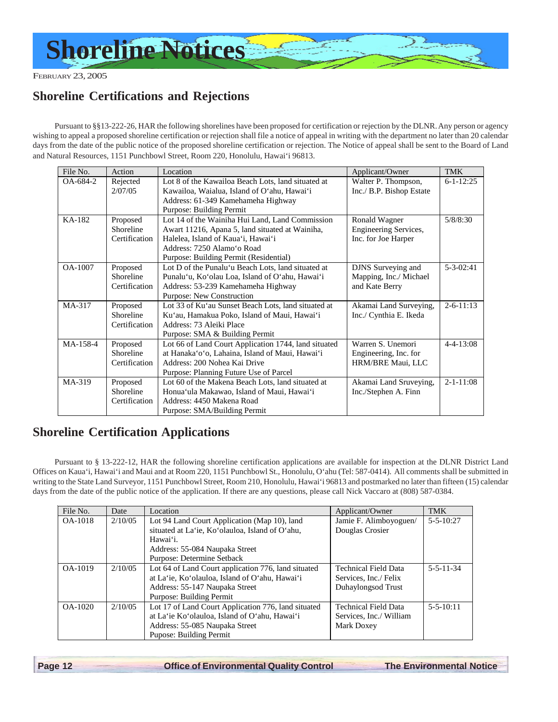<span id="page-11-0"></span>

### **Shoreline Certifications and Rejections**

Pursuant to §§13-222-26, HAR the following shorelines have been proposed for certification or rejection by the DLNR. Any person or agency wishing to appeal a proposed shoreline certification or rejection shall file a notice of appeal in writing with the department no later than 20 calendar days from the date of the public notice of the proposed shoreline certification or rejection. The Notice of appeal shall be sent to the Board of Land and Natural Resources, 1151 Punchbowl Street, Room 220, Honolulu, Hawai'i 96813.

| File No. | Action        | Location                                             | Applicant/Owner          | <b>TMK</b>      |
|----------|---------------|------------------------------------------------------|--------------------------|-----------------|
| OA-684-2 | Rejected      | Lot 8 of the Kawailoa Beach Lots, land situated at   | Walter P. Thompson,      | $6 - 1 - 12:25$ |
|          | 2/07/05       | Kawailoa, Waialua, Island of O'ahu, Hawai'i          | Inc./ B.P. Bishop Estate |                 |
|          |               | Address: 61-349 Kamehameha Highway                   |                          |                 |
|          |               | Purpose: Building Permit                             |                          |                 |
| KA-182   | Proposed      | Lot 14 of the Wainiha Hui Land, Land Commission      | Ronald Wagner            | 5/8/8:30        |
|          | Shoreline     | Awart 11216, Apana 5, land situated at Wainiha,      | Engineering Services,    |                 |
|          | Certification | Halelea, Island of Kaua'i, Hawai'i                   | Inc. for Joe Harper      |                 |
|          |               | Address: 7250 Alamo'o Road                           |                          |                 |
|          |               | Purpose: Building Permit (Residential)               |                          |                 |
| OA-1007  | Proposed      | Lot D of the Punalu'u Beach Lots, land situated at   | DJNS Surveying and       | $5 - 3 - 02:41$ |
|          | Shoreline     | Punalu'u, Ko'olau Loa, Island of O'ahu, Hawai'i      | Mapping, Inc./ Michael   |                 |
|          | Certification | Address: 53-239 Kamehameha Highway                   | and Kate Berry           |                 |
|          |               | Purpose: New Construction                            |                          |                 |
| MA-317   | Proposed      | Lot 33 of Ku'au Sunset Beach Lots, land situated at  | Akamai Land Surveying,   | $2 - 6 - 11:13$ |
|          | Shoreline     | Ku'au, Hamakua Poko, Island of Maui, Hawai'i         | Inc./ Cynthia E. Ikeda   |                 |
|          | Certification | Address: 73 Aleiki Place                             |                          |                 |
|          |               | Purpose: SMA & Building Permit                       |                          |                 |
| MA-158-4 | Proposed      | Lot 66 of Land Court Application 1744, land situated | Warren S. Unemori        | $4 - 4 - 13:08$ |
|          | Shoreline     | at Hanaka'o'o, Lahaina, Island of Maui, Hawai'i      | Engineering, Inc. for    |                 |
|          | Certification | Address: 200 Nohea Kai Drive                         | HRM/BRE Maui, LLC        |                 |
|          |               | Purpose: Planning Future Use of Parcel               |                          |                 |
| MA-319   | Proposed      | Lot 60 of the Makena Beach Lots, land situated at    | Akamai Land Sruveying,   | $2 - 1 - 11:08$ |
|          | Shoreline     | Honua'ula Makawao, Island of Maui, Hawai'i           | Inc./Stephen A. Finn     |                 |
|          | Certification | Address: 4450 Makena Road                            |                          |                 |
|          |               | Purpose: SMA/Building Permit                         |                          |                 |

#### **Shoreline Certification Applications**

Pursuant to § 13-222-12, HAR the following shoreline certification applications are available for inspection at the DLNR District Land Offices on Kaua'i, Hawai'i and Maui and at Room 220, 1151 Punchbowl St., Honolulu, O'ahu (Tel: 587-0414). All comments shall be submitted in writing to the State Land Surveyor, 1151 Punchbowl Street, Room 210, Honolulu, Hawai'i 96813 and postmarked no later than fifteen (15) calendar days from the date of the public notice of the application. If there are any questions, please call Nick Vaccaro at (808) 587-0384.

| File No.  | Date    | Location                                            | Applicant/Owner             | <b>TMK</b>        |
|-----------|---------|-----------------------------------------------------|-----------------------------|-------------------|
| OA-1018   | 2/10/05 | Lot 94 Land Court Application (Map 10), land        | Jamie F. Alimboyoguen/      | $5 - 5 - 10:27$   |
|           |         | situated at La'ie, Ko'olauloa, Island of O'ahu,     | Douglas Crosier             |                   |
|           |         | Hawai'i.                                            |                             |                   |
|           |         | Address: 55-084 Naupaka Street                      |                             |                   |
|           |         | Purpose: Determine Setback                          |                             |                   |
| OA-1019   | 2/10/05 | Lot 64 of Land Court application 776, land situated | <b>Technical Field Data</b> | $5 - 5 - 11 - 34$ |
|           |         | at La'ie, Ko'olauloa, Island of O'ahu, Hawai'i      | Services, Inc./ Felix       |                   |
|           |         | Address: 55-147 Naupaka Street                      | Duhaylongsod Trust          |                   |
|           |         | Purpose: Building Permit                            |                             |                   |
| $OA-1020$ | 2/10/05 | Lot 17 of Land Court Application 776, land situated | <b>Technical Field Data</b> | $5 - 5 - 10:11$   |
|           |         | at La'ie Ko'olauloa, Island of O'ahu, Hawai'i       | Services, Inc./ William     |                   |
|           |         | Address: 55-085 Naupaka Street                      | Mark Doxey                  |                   |
|           |         | Pupose: Building Permit                             |                             |                   |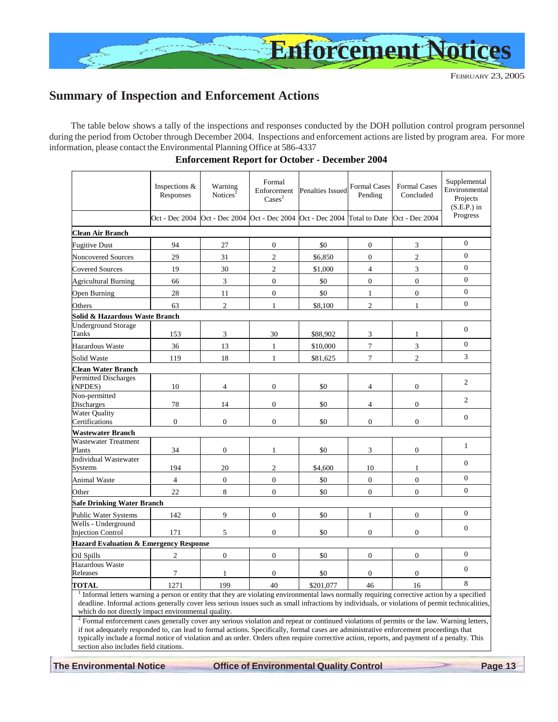<span id="page-12-0"></span>

### **Summary of Inspection and Enforcement Actions**

The table below shows a tally of the inspections and responses conducted by the DOH pollution control program personnel during the period from October through December 2004. Inspections and enforcement actions are listed by program area. For more information, please contact the Environmental Planning Office at 586-4337

|                                                                                                                                                                                                                                                                                                                                                                    | Inspections &<br>Responses | Warning<br>Notices <sup>1</sup> | Formal<br>Enforcement<br>$\text{Case} \mathrm{s}^2$ | Penalties Issued                                           | <b>Formal Cases</b><br>Pending | <b>Formal Cases</b><br>Concluded | Supplemental<br>Environmental<br>Projects<br>$(S.E.P.)$ in |
|--------------------------------------------------------------------------------------------------------------------------------------------------------------------------------------------------------------------------------------------------------------------------------------------------------------------------------------------------------------------|----------------------------|---------------------------------|-----------------------------------------------------|------------------------------------------------------------|--------------------------------|----------------------------------|------------------------------------------------------------|
|                                                                                                                                                                                                                                                                                                                                                                    | Oct - Dec 2004             |                                 |                                                     | Oct - Dec 2004 Oct - Dec 2004 Oct - Dec 2004 Total to Date |                                | Oct - Dec 2004                   | Progress                                                   |
| <b>Clean Air Branch</b>                                                                                                                                                                                                                                                                                                                                            |                            |                                 |                                                     |                                                            |                                |                                  |                                                            |
| <b>Fugitive Dust</b>                                                                                                                                                                                                                                                                                                                                               | 94                         | 27                              | $\mathbf{0}$                                        | \$0                                                        | $\boldsymbol{0}$               | 3                                | $\overline{0}$                                             |
| Noncovered Sources                                                                                                                                                                                                                                                                                                                                                 | 29                         | 31                              | $\sqrt{2}$                                          | \$6,850                                                    | $\boldsymbol{0}$               | $\mathbf{2}$                     | $\mathbf{0}$                                               |
| <b>Covered Sources</b>                                                                                                                                                                                                                                                                                                                                             | 19                         | 30                              | $\sqrt{2}$                                          | \$1,000                                                    | $\overline{4}$                 | 3                                | $\mathbf{0}$                                               |
| <b>Agricultural Burning</b>                                                                                                                                                                                                                                                                                                                                        | 66                         | 3                               | $\boldsymbol{0}$                                    | \$0                                                        | $\overline{0}$                 | $\overline{0}$                   | $\mathbf{0}$                                               |
| Open Burning                                                                                                                                                                                                                                                                                                                                                       | 28                         | 11                              | $\boldsymbol{0}$                                    | \$0                                                        | 1                              | $\boldsymbol{0}$                 | $\overline{0}$                                             |
| Others                                                                                                                                                                                                                                                                                                                                                             | 63                         | $\overline{2}$                  | $\mathbf{1}$                                        | \$8,100                                                    | $\overline{2}$                 | $\mathbf{1}$                     | $\mathbf{0}$                                               |
| Solid & Hazardous Waste Branch                                                                                                                                                                                                                                                                                                                                     |                            |                                 |                                                     |                                                            |                                |                                  |                                                            |
| <b>Underground Storage</b><br>Tanks                                                                                                                                                                                                                                                                                                                                | 153                        | 3                               | 30                                                  | \$88,902                                                   | 3                              | $\mathbf{1}$                     | $\Omega$                                                   |
| Hazardous Waste                                                                                                                                                                                                                                                                                                                                                    | 36                         | 13                              | $\mathbf{1}$                                        | \$10,000                                                   | $\tau$                         | 3                                | $\boldsymbol{0}$                                           |
| Solid Waste                                                                                                                                                                                                                                                                                                                                                        | 119                        | 18                              | $\mathbf{1}$                                        | \$81,625                                                   | $\tau$                         | $\mathfrak{2}$                   | 3                                                          |
| <b>Clean Water Branch</b>                                                                                                                                                                                                                                                                                                                                          |                            |                                 |                                                     |                                                            |                                |                                  |                                                            |
| <b>Permitted Discharges</b><br>(NPDES)                                                                                                                                                                                                                                                                                                                             | 10                         | 4                               | $\boldsymbol{0}$                                    | \$0                                                        | 4                              | $\boldsymbol{0}$                 | $\overline{2}$                                             |
| Non-permitted                                                                                                                                                                                                                                                                                                                                                      |                            |                                 |                                                     |                                                            |                                |                                  | $\overline{2}$                                             |
| Discharges<br><b>Water Quality</b>                                                                                                                                                                                                                                                                                                                                 | 78                         | 14                              | $\boldsymbol{0}$                                    | \$0                                                        | $\overline{4}$                 | $\boldsymbol{0}$                 |                                                            |
| Certifications                                                                                                                                                                                                                                                                                                                                                     | $\overline{0}$             | $\overline{0}$                  | $\boldsymbol{0}$                                    | \$0                                                        | $\overline{0}$                 | $\boldsymbol{0}$                 | $\boldsymbol{0}$                                           |
| Wastewater Branch                                                                                                                                                                                                                                                                                                                                                  |                            |                                 |                                                     |                                                            |                                |                                  |                                                            |
| <b>Wastewater Treatment</b><br>Plants                                                                                                                                                                                                                                                                                                                              | 34                         | $\boldsymbol{0}$                | 1                                                   | \$0                                                        | 3                              | $\mathbf{0}$                     | $\mathbf{1}$                                               |
| Individual Wastewater<br>Systems                                                                                                                                                                                                                                                                                                                                   | 194                        | 20                              | $\mathbf{2}$                                        | \$4,600                                                    | $10\,$                         | 1                                | $\mathbf{0}$                                               |
| Animal Waste                                                                                                                                                                                                                                                                                                                                                       | $\overline{4}$             | $\boldsymbol{0}$                | $\boldsymbol{0}$                                    | \$0                                                        | $\boldsymbol{0}$               | $\boldsymbol{0}$                 | $\mathbf{0}$                                               |
| Other                                                                                                                                                                                                                                                                                                                                                              | 22                         | 8                               | $\overline{0}$                                      | \$0                                                        | $\mathbf{0}$                   | $\overline{0}$                   | $\boldsymbol{0}$                                           |
| <b>Safe Drinking Water Branch</b>                                                                                                                                                                                                                                                                                                                                  |                            |                                 |                                                     |                                                            |                                |                                  |                                                            |
| Public Water Systems                                                                                                                                                                                                                                                                                                                                               | 142                        | 9                               | $\overline{0}$                                      | \$0                                                        | $\mathbf{1}$                   | $\mathbf{0}$                     | $\boldsymbol{0}$                                           |
| Wells - Underground<br><b>Injection Control</b>                                                                                                                                                                                                                                                                                                                    | 171                        | 5                               | $\boldsymbol{0}$                                    | \$0                                                        | $\boldsymbol{0}$               | $\boldsymbol{0}$                 | $\mathbf{0}$                                               |
| <b>Hazard Evaluation &amp; Emergency Response</b>                                                                                                                                                                                                                                                                                                                  |                            |                                 |                                                     |                                                            |                                |                                  |                                                            |
| Oil Spills                                                                                                                                                                                                                                                                                                                                                         | $\overline{\mathbf{c}}$    | $\boldsymbol{0}$                | $\boldsymbol{0}$                                    | \$0                                                        | $\boldsymbol{0}$               | $\boldsymbol{0}$                 | $\mathbf{0}$                                               |
| Hazardous Waste<br>Releases                                                                                                                                                                                                                                                                                                                                        | $\tau$                     | $\mathbf{1}$                    | $\boldsymbol{0}$                                    | \$0                                                        | $\overline{0}$                 | $\boldsymbol{0}$                 | $\mathbf{0}$                                               |
| <b>TOTAL</b>                                                                                                                                                                                                                                                                                                                                                       | 1271                       | 199                             | 40                                                  | \$201,077                                                  | 46                             | 16                               | 8                                                          |
| <sup>1</sup> Informal letters warning a person or entity that they are violating environmental laws normally requiring corrective action by a specified<br>deadline. Informal actions generally cover less serious issues such as small infractions by individuals, or violations of permit technicalities,<br>which do not directly impact environmental quality. |                            |                                 |                                                     |                                                            |                                |                                  |                                                            |
| <sup>2</sup> Formal enforcement cases generally cover any serious violation and repeat or continued violations of permits or the law. Warning letters,<br>if not adequately responded to, can lead to formal actions. Specifically, formal cases are administrative enforcement proceedings that                                                                   |                            |                                 |                                                     |                                                            |                                |                                  |                                                            |

#### **Enforcement Report for October - December 2004**

 Formal enforcement cases generally cover any serious violation and repeat or continued violations of permits or the law. Warning letters, typically include a formal notice of violation and an order. Orders often require corrective action, reports, and payment of a penalty. This section also includes field citations.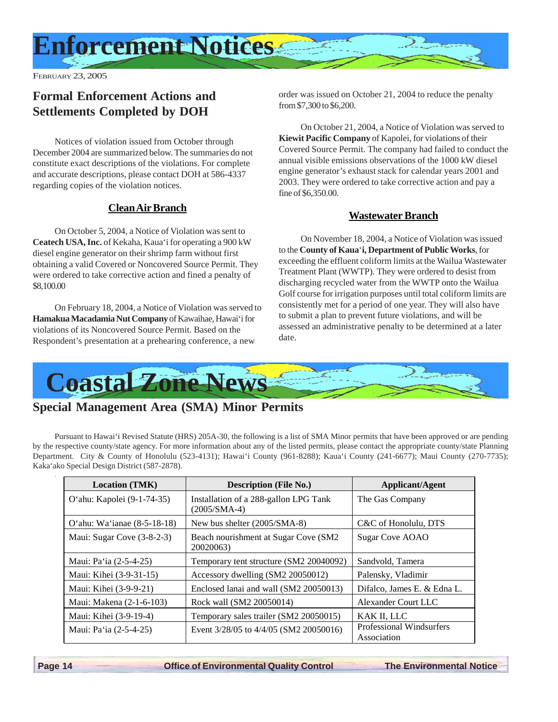<span id="page-13-0"></span>

### **Formal Enforcement Actions and Settlements Completed by DOH**

Notices of violation issued from October through December 2004 are summarized below. The summaries do not constitute exact descriptions of the violations. For complete and accurate descriptions, please contact DOH at 586-4337 regarding copies of the violation notices.

#### **Clean Air Branch**

On October 5, 2004, a Notice of Violation was sent to **Ceatech USA, Inc.** of Kekaha, Kaua'i for operating a 900 kW diesel engine generator on their shrimp farm without first obtaining a valid Covered or Noncovered Source Permit. They were ordered to take corrective action and fined a penalty of \$8,100.00

On February 18, 2004, a Notice of Violation was served to **Hamakua Macadamia Nut Company** of Kawaihae, Hawai'i for violations of its Noncovered Source Permit. Based on the Respondent's presentation at a prehearing conference, a new

order was issued on October 21, 2004 to reduce the penalty from \$7,300 to \$6,200.

On October 21, 2004, a Notice of Violation was served to **Kiewit Pacific Company** of Kapolei, for violations of their Covered Source Permit. The company had failed to conduct the annual visible emissions observations of the 1000 kW diesel engine generator's exhaust stack for calendar years 2001 and 2003. They were ordered to take corrective action and pay a fine of \$6,350.00.

#### **Wastewater Branch**

On November 18, 2004, a Notice of Violation was issued to the **County of Kaua**'**i, Department of Public Works**, for exceeding the effluent coliform limits at the Wailua Wastewater Treatment Plant (WWTP). They were ordered to desist from discharging recycled water from the WWTP onto the Wailua Golf course for irrigation purposes until total coliform limits are consistently met for a period of one year. They will also have to submit a plan to prevent future violations, and will be assessed an administrative penalty to be determined at a later date.



#### **Special Management Area (SMA) Minor Permits**

Pursuant to Hawai'i Revised Statute (HRS) 205A-30, the following is a list of SMA Minor permits that have been approved or are pending by the respective county/state agency. For more information about any of the listed permits, please contact the appropriate county/state Planning Department. City & County of Honolulu (523-4131); Hawai'i County (961-8288); Kaua'i County (241-6677); Maui County (270-7735); Kaka'ako Special Design District (587-2878).

| <b>Location (TMK)</b>         | <b>Description (File No.)</b>                           | <b>Applicant/Agent</b>                         |
|-------------------------------|---------------------------------------------------------|------------------------------------------------|
| O'ahu: Kapolei (9-1-74-35)    | Installation of a 288-gallon LPG Tank<br>$(2005/SMA-4)$ | The Gas Company                                |
| O'ahu: Wa'ianae $(8-5-18-18)$ | New bus shelter (2005/SMA-8)                            | C&C of Honolulu, DTS                           |
| Maui: Sugar Cove (3-8-2-3)    | Beach nourishment at Sugar Cove (SM2<br>20020063)       | Sugar Cove AOAO                                |
| Maui: Pa'ia (2-5-4-25)        | Temporary tent structure (SM2 20040092)                 | Sandvold, Tamera                               |
| Maui: Kihei (3-9-31-15)       | Accessory dwelling (SM2 20050012)                       | Palensky, Vladimir                             |
| Maui: Kihei (3-9-9-21)        | Enclosed lanai and wall (SM2 20050013)                  | Difalco, James E. & Edna L.                    |
| Maui: Makena (2-1-6-103)      | Rock wall (SM2 20050014)                                | Alexander Court LLC                            |
| Maui: Kihei (3-9-19-4)        | Temporary sales trailer (SM2 20050015)                  | KAK II, LLC                                    |
| Maui: Pa'ia (2-5-4-25)        | Event 3/28/05 to 4/4/05 (SM2 20050016)                  | <b>Professional Windsurfers</b><br>Association |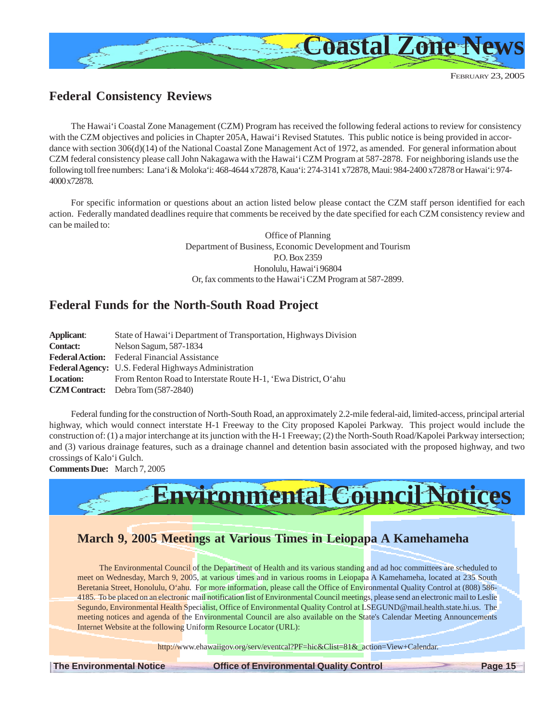<span id="page-14-0"></span>

### **Federal Consistency Reviews**

The Hawai'i Coastal Zone Management (CZM) Program has received the following federal actions to review for consistency with the CZM objectives and policies in Chapter 205A, Hawai'i Revised Statutes. This public notice is being provided in accordance with section 306(d)(14) of the National Coastal Zone Management Act of 1972, as amended. For general information about CZM federal consistency please call John Nakagawa with the Hawai'i CZM Program at 587-2878. For neighboring islands use the following toll free numbers: Lana'i & Moloka'i: 468-4644 x72878, Kaua'i: 274-3141 x72878, Maui: 984-2400 x72878 or Hawai'i: 974- 4000 x72878.

For specific information or questions about an action listed below please contact the CZM staff person identified for each action. Federally mandated deadlines require that comments be received by the date specified for each CZM consistency review and can be mailed to:

> Office of Planning Department of Business, Economic Development and Tourism P.O. Box 2359 Honolulu, Hawai'i 96804 Or, fax comments to the Hawai'i CZM Program at 587-2899.

### **Federal Funds for the North-South Road Project**

| Applicant:       | State of Hawai'i Department of Transportation, Highways Division |
|------------------|------------------------------------------------------------------|
| <b>Contact:</b>  | Nelson Sagum, 587-1834                                           |
|                  | <b>Federal Action:</b> Federal Financial Assistance              |
|                  | Federal Agency: U.S. Federal Highways Administration             |
| <b>Location:</b> | From Renton Road to Interstate Route H-1, 'Ewa District, O'ahu   |
|                  | <b>CZM Contract:</b> Debra Tom $(587-2840)$                      |

Federal funding for the construction of North-South Road, an approximately 2.2-mile federal-aid, limited-access, principal arterial highway, which would connect interstate H-1 Freeway to the City proposed Kapolei Parkway. This project would include the construction of: (1) a major interchange at its junction with the H-1 Freeway; (2) the North-South Road/Kapolei Parkway intersection; and (3) various drainage features, such as a drainage channel and detention basin associated with the proposed highway, and two crossings of Kalo'i Gulch.

**Comments Due:** March 7, 2005



### **March 9, 2005 Meetings at Various Times in Leiopapa A Kamehameha**

The Environmental Council of the Department of Health and its various standing and ad hoc committees are scheduled to meet on Wednesday, March 9, 2005, at various times and in various rooms in Leiopapa A Kamehameha, located at 235 South Beretania Street, Honolulu, O'ahu. For more information, please call the Office of Environmental Quality Control at (808) 586- 4185. To be placed on an electronic mail notification list of Environmental Council meetings, please send an electronic mail to Leslie Segundo, Environmental Health Specialist, Office of Environmental Quality Control at LSEGUND@mail.health.state.hi.us. The meeting notices and agenda of the Environmental Council are also available on the State's Calendar Meeting Announcements Internet Website at the following Uniform Resource Locator (URL):

http://www.ehawaiigov.org/serv/eventcal?PF=hic&Clist=81&\_action=View+Calendar.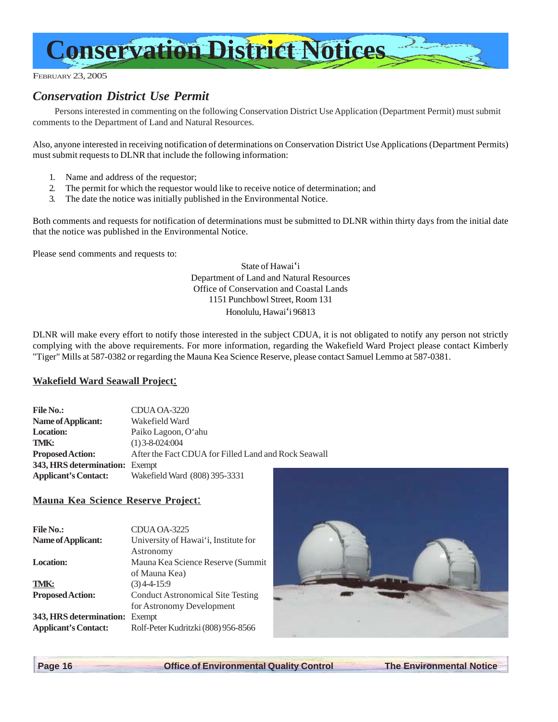<span id="page-15-0"></span>

### *Conservation District Use Permit*

Persons interested in commenting on the following Conservation District Use Application (Department Permit) must submit comments to the Department of Land and Natural Resources.

Also, anyone interested in receiving notification of determinations on Conservation District Use Applications (Department Permits) must submit requests to DLNR that include the following information:

- 1. Name and address of the requestor;
- 2. The permit for which the requestor would like to receive notice of determination; and
- 3. The date the notice was initially published in the Environmental Notice.

Both comments and requests for notification of determinations must be submitted to DLNR within thirty days from the initial date that the notice was published in the Environmental Notice.

Please send comments and requests to:

State of Hawai'i Department of Land and Natural Resources Office of Conservation and Coastal Lands 1151 Punchbowl Street, Room 131 Honolulu, Hawai'i 96813

DLNR will make every effort to notify those interested in the subject CDUA, it is not obligated to notify any person not strictly complying with the above requirements. For more information, regarding the Wakefield Ward Project please contact Kimberly "Tiger" Mills at 587-0382 or regarding the Mauna Kea Science Reserve, please contact Samuel Lemmo at 587-0381.

#### **Wakefield Ward Seawall Project**:

**File No.:** CDUA OA-3220 **Name of Applicant:** Wakefield Ward **Location:** Paiko Lagoon, O'ahu **TMK:** (1) 3-8-024:004 **Proposed Action:** After the Fact CDUA for Filled Land and Rock Seawall **343, HRS determination:** Exempt **Applicant's Contact:** Wakefield Ward (808) 395-3331

#### **Mauna Kea Science Reserve Project**:

| <b>File No.:</b>               | CDUA OA-3225                             |
|--------------------------------|------------------------------------------|
| Name of Applicant:             | University of Hawai'i, Institute for     |
|                                | Astronomy                                |
| <b>Location:</b>               | Mauna Kea Science Reserve (Summit        |
|                                | of Mauna Kea)                            |
| TMK:                           | $(3)$ 4-4-15:9                           |
| <b>Proposed Action:</b>        | <b>Conduct Astronomical Site Testing</b> |
|                                | for Astronomy Development                |
| 343, HRS determination: Exempt |                                          |
| <b>Applicant's Contact:</b>    | Rolf-Peter Kudritzki (808) 956-8566      |



 **Page 16 Control Control Defice of Environmental Quality Control The Environmental Notice**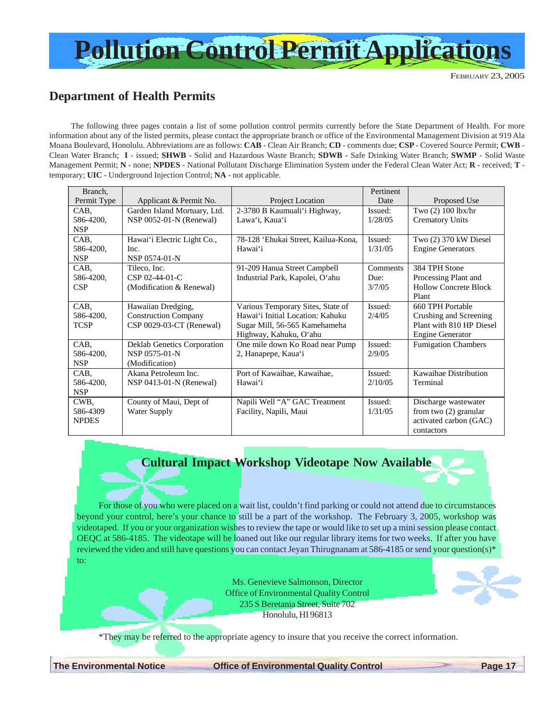<span id="page-16-0"></span>

#### **Department of Health Permits**

The following three pages contain a list of some pollution control permits currently before the State Department of Health. For more information about any of the listed permits, please contact the appropriate branch or office of the Environmental Management Division at 919 Ala Moana Boulevard, Honolulu. Abbreviations are as follows: **CAB** - Clean Air Branch; **CD** - comments due; **CSP** - Covered Source Permit; **CWB** - Clean Water Branch; **I** - issued; **SHWB** - Solid and Hazardous Waste Branch; **SDWB** - Safe Drinking Water Branch; **SWMP** - Solid Waste Management Permit; **N** - none; **NPDES** - National Pollutant Discharge Elimination System under the Federal Clean Water Act; **R** - received; **T** temporary; **UIC** - Underground Injection Control; **NA** - not applicable.

| Branch,      |                              |                                     | Pertinent |                              |
|--------------|------------------------------|-------------------------------------|-----------|------------------------------|
| Permit Type  | Applicant & Permit No.       | <b>Project Location</b>             | Date      | Proposed Use                 |
| CAB,         | Garden Island Mortuary, Ltd. | 2-3780 B Kaumuali'i Highway,        | Issued:   | Two $(2)$ 100 lbx/hr         |
| 586-4200,    | NSP 0052-01-N (Renewal)      | Lawa'i, Kaua'i                      | 1/28/05   | <b>Crematory Units</b>       |
| <b>NSP</b>   |                              |                                     |           |                              |
| CAB.         | Hawai'i Electric Light Co.,  | 78-128 'Ehukai Street, Kailua-Kona, | Issued:   | Two (2) 370 kW Diesel        |
| 586-4200,    | Inc.                         | Hawai'i                             | 1/31/05   | <b>Engine Generators</b>     |
| <b>NSP</b>   | NSP 0574-01-N                |                                     |           |                              |
| CAB,         | Tileco, Inc.                 | 91-209 Hanua Street Campbell        | Comments  | 384 TPH Stone                |
| 586-4200,    | CSP 02-44-01-C               | Industrial Park, Kapolei, O'ahu     | Due:      | Processing Plant and         |
| CSP          | (Modification & Renewal)     |                                     | 3/7/05    | <b>Hollow Concrete Block</b> |
|              |                              |                                     |           | Plant                        |
| CAB,         | Hawaiian Dredging,           | Various Temporary Sites, State of   | Issued:   | 660 TPH Portable             |
| 586-4200,    | <b>Construction Company</b>  | Hawai'i Initial Location: Kahuku    | 2/4/05    | Crushing and Screening       |
| <b>TCSP</b>  | CSP 0029-03-CT (Renewal)     | Sugar Mill, 56-565 Kamehameha       |           | Plant with 810 HP Diesel     |
|              |                              | Highway, Kahuku, O'ahu              |           | <b>Engine Generator</b>      |
| CAB,         | Deklab Genetics Corporation  | One mile down Ko Road near Pump     | Issued:   | <b>Fumigation Chambers</b>   |
| 586-4200,    | NSP 0575-01-N                | 2, Hanapepe, Kaua'i                 | 2/9/05    |                              |
| <b>NSP</b>   | (Modification)               |                                     |           |                              |
| CAB.         | Akana Petroleum Inc.         | Port of Kawaihae, Kawaihae,         | Issued:   | Kawaihae Distribution        |
| 586-4200,    | $NSP 0413-01-N (Renewal)$    | Hawai'i                             | 2/10/05   | Terminal                     |
| <b>NSP</b>   |                              |                                     |           |                              |
| CWB.         | County of Maui, Dept of      | Napili Well "A" GAC Treatment       | Issued:   | Discharge wastewater         |
| 586-4309     | Water Supply                 | Facility, Napili, Maui              | 1/31/05   | from two $(2)$ granular      |
| <b>NPDES</b> |                              |                                     |           | activated carbon (GAC)       |
|              |                              |                                     |           | contactors                   |

### **Cultural Impact Workshop Videotape Now Available**

For those of you who were placed on a wait list, couldn't find parking or could not attend due to circumstances beyond your control, here's your chance to still be a part of the workshop. The February 3, 2005, workshop was videotaped. If you or your organization wishes to review the tape or would like to set up a mini session please contact OEQC at 586-4185. The videotape will be loaned out like our regular library items for two weeks. If after you have reviewed the video and still have questions you can contact Jeyan Thirugnanam at 586-4185 or send your question(s)\* to:

> Ms. Genevieve Salmonson, Director Office of Environmental Quality Control 235 S Beretania Street, Suite 702 Honolulu, HI 96813

\*They may be referred to the appropriate agency to insure that you receive the correct information.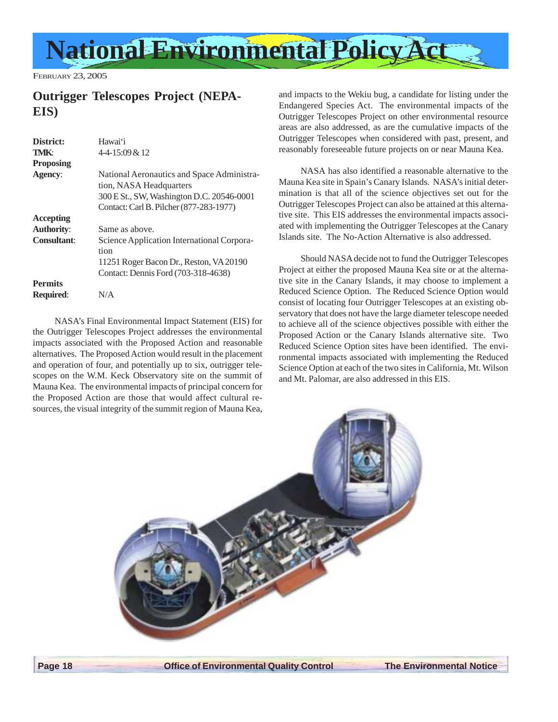<span id="page-17-0"></span>

#### **Outrigger Telescopes Project (NEPA-EIS)**

| District:          | Hawai'i                                                                              |
|--------------------|--------------------------------------------------------------------------------------|
| TMK:               | 4-4-15:09 & 12                                                                       |
| <b>Proposing</b>   |                                                                                      |
| Agency:            | National Aeronautics and Space Administra-<br>tion, NASA Headquarters                |
|                    | 300 E St., SW, Washington D.C. 20546-0001<br>Contact: Carl B. Pilcher (877-283-1977) |
| <b>Accepting</b>   |                                                                                      |
| <b>Authority:</b>  | Same as above.                                                                       |
| <b>Consultant:</b> | Science Application International Corpora-<br>tion                                   |
|                    | 11251 Roger Bacon Dr., Reston, VA 20190                                              |
|                    | Contact: Dennis Ford (703-318-4638)                                                  |
| <b>Permits</b>     |                                                                                      |
| <b>Required:</b>   | N/A                                                                                  |

NASA's Final Environmental Impact Statement (EIS) for the Outrigger Telescopes Project addresses the environmental impacts associated with the Proposed Action and reasonable alternatives. The Proposed Action would result in the placement and operation of four, and potentially up to six, outrigger telescopes on the W.M. Keck Observatory site on the summit of Mauna Kea. The environmental impacts of principal concern for the Proposed Action are those that would affect cultural resources, the visual integrity of the summit region of Mauna Kea,

and impacts to the Wekiu bug, a candidate for listing under the Endangered Species Act. The environmental impacts of the Outrigger Telescopes Project on other environmental resource areas are also addressed, as are the cumulative impacts of the Outrigger Telescopes when considered with past, present, and reasonably foreseeable future projects on or near Mauna Kea.

NASA has also identified a reasonable alternative to the Mauna Kea site in Spain's Canary Islands. NASA's initial determination is that all of the science objectives set out for the Outrigger Telescopes Project can also be attained at this alternative site. This EIS addresses the environmental impacts associated with implementing the Outrigger Telescopes at the Canary Islands site. The No-Action Alternative is also addressed.

Should NASA decide not to fund the Outrigger Telescopes Project at either the proposed Mauna Kea site or at the alternative site in the Canary Islands, it may choose to implement a Reduced Science Option. The Reduced Science Option would consist of locating four Outrigger Telescopes at an existing observatory that does not have the large diameter telescope needed to achieve all of the science objectives possible with either the Proposed Action or the Canary Islands alternative site. Two Reduced Science Option sites have been identified. The environmental impacts associated with implementing the Reduced Science Option at each of the two sites in California, Mt. Wilson and Mt. Palomar, are also addressed in this EIS.

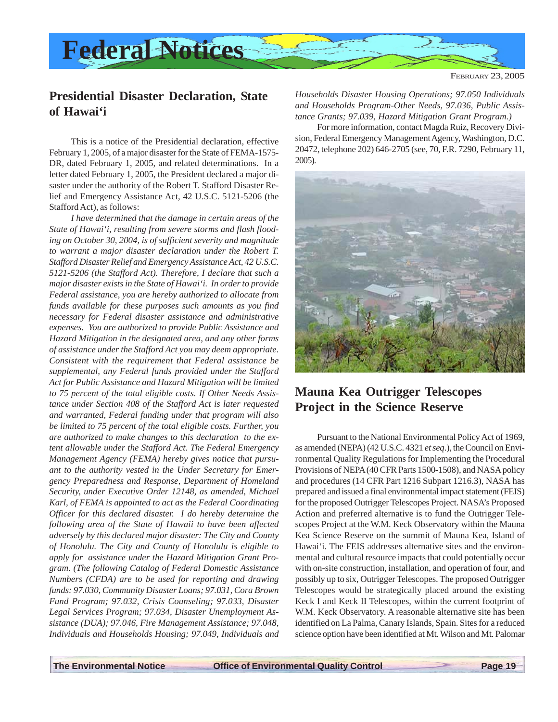<span id="page-18-0"></span>

### **Presidential Disaster Declaration, State of Hawai'i**

This is a notice of the Presidential declaration, effective February 1, 2005, of a major disaster for the State of FEMA-1575- DR, dated February 1, 2005, and related determinations. In a letter dated February 1, 2005, the President declared a major disaster under the authority of the Robert T. Stafford Disaster Relief and Emergency Assistance Act, 42 U.S.C. 5121-5206 (the Stafford Act), as follows:

*I have determined that the damage in certain areas of the State of Hawai'i, resulting from severe storms and flash flooding on October 30, 2004, is of sufficient severity and magnitude to warrant a major disaster declaration under the Robert T. Stafford Disaster Relief and Emergency Assistance Act, 42 U.S.C. 5121-5206 (the Stafford Act). Therefore, I declare that such a major disaster exists in the State of Hawai'i. In order to provide Federal assistance, you are hereby authorized to allocate from funds available for these purposes such amounts as you find necessary for Federal disaster assistance and administrative expenses. You are authorized to provide Public Assistance and Hazard Mitigation in the designated area, and any other forms of assistance under the Stafford Act you may deem appropriate. Consistent with the requirement that Federal assistance be supplemental, any Federal funds provided under the Stafford Act for Public Assistance and Hazard Mitigation will be limited to 75 percent of the total eligible costs. If Other Needs Assistance under Section 408 of the Stafford Act is later requested and warranted, Federal funding under that program will also be limited to 75 percent of the total eligible costs. Further, you are authorized to make changes to this declaration to the extent allowable under the Stafford Act. The Federal Emergency Management Agency (FEMA) hereby gives notice that pursuant to the authority vested in the Under Secretary for Emergency Preparedness and Response, Department of Homeland Security, under Executive Order 12148, as amended, Michael Karl, of FEMA is appointed to act as the Federal Coordinating Officer for this declared disaster. I do hereby determine the following area of the State of Hawaii to have been affected adversely by this declared major disaster: The City and County of Honolulu. The City and County of Honolulu is eligible to apply for assistance under the Hazard Mitigation Grant Program. (The following Catalog of Federal Domestic Assistance Numbers (CFDA) are to be used for reporting and drawing funds: 97.030, Community Disaster Loans; 97.031, Cora Brown Fund Program; 97.032, Crisis Counseling; 97.033, Disaster Legal Services Program; 97.034, Disaster Unemployment Assistance (DUA); 97.046, Fire Management Assistance; 97.048, Individuals and Households Housing; 97.049, Individuals and*

*Households Disaster Housing Operations; 97.050 Individuals and Households Program-Other Needs, 97.036, Public Assistance Grants; 97.039, Hazard Mitigation Grant Program.)*

For more information, contact Magda Ruiz, Recovery Division, Federal Emergency Management Agency, Washington, D.C. 20472, telephone 202) 646-2705 (see, 70, F.R. 7290, February 11, 2005).



#### **Mauna Kea Outrigger Telescopes Project in the Science Reserve**

Pursuant to the National Environmental Policy Act of 1969, as amended (NEPA) (42 U.S.C. 4321 *et seq*.), the Council on Environmental Quality Regulations for Implementing the Procedural Provisions of NEPA (40 CFR Parts 1500-1508), and NASA policy and procedures (14 CFR Part 1216 Subpart 1216.3), NASA has prepared and issued a final environmental impact statement (FEIS) for the proposed Outrigger Telescopes Project. NASA's Proposed Action and preferred alternative is to fund the Outrigger Telescopes Project at the W.M. Keck Observatory within the Mauna Kea Science Reserve on the summit of Mauna Kea, Island of Hawai'i. The FEIS addresses alternative sites and the environmental and cultural resource impacts that could potentially occur with on-site construction, installation, and operation of four, and possibly up to six, Outrigger Telescopes. The proposed Outrigger Telescopes would be strategically placed around the existing Keck I and Keck II Telescopes, within the current footprint of W.M. Keck Observatory. A reasonable alternative site has been identified on La Palma, Canary Islands, Spain. Sites for a reduced science option have been identified at Mt. Wilson and Mt. Palomar